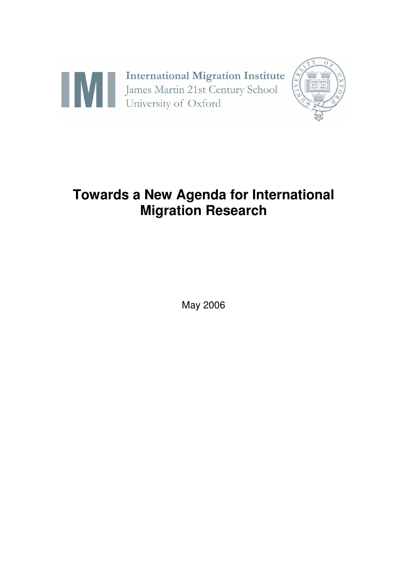

# **Towards a New Agenda for International Migration Research**

May 2006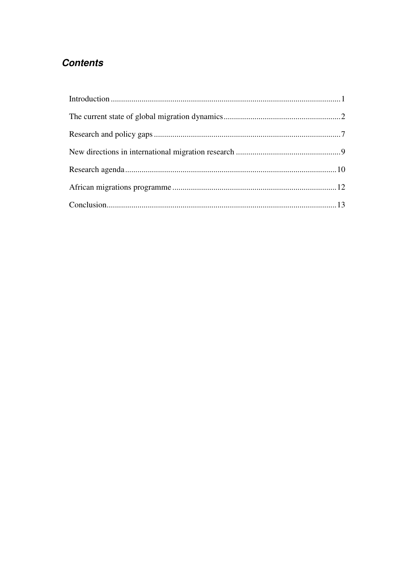# **Contents**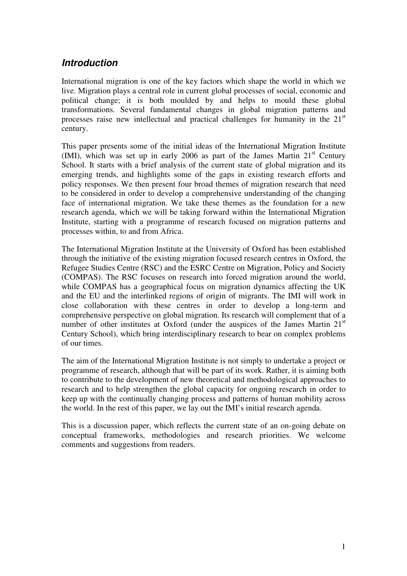### *Introduction*

International migration is one of the key factors which shape the world in which we live. Migration plays a central role in current global processes of social, economic and political change; it is both moulded by and helps to mould these global transformations. Several fundamental changes in global migration patterns and processes raise new intellectual and practical challenges for humanity in the 21<sup>st</sup> century.

This paper presents some of the initial ideas of the International Migration Institute (IMI), which was set up in early 2006 as part of the James Martin  $21<sup>st</sup>$  Century School. It starts with a brief analysis of the current state of global migration and its emerging trends, and highlights some of the gaps in existing research efforts and policy responses. We then present four broad themes of migration research that need to be considered in order to develop a comprehensive understanding of the changing face of international migration. We take these themes as the foundation for a new research agenda, which we will be taking forward within the International Migration Institute, starting with a programme of research focused on migration patterns and processes within, to and from Africa.

The International Migration Institute at the University of Oxford has been established through the initiative of the existing migration focused research centres in Oxford, the Refugee Studies Centre (RSC) and the ESRC Centre on Migration, Policy and Society (COMPAS). The RSC focuses on research into forced migration around the world, while COMPAS has a geographical focus on migration dynamics affecting the UK and the EU and the interlinked regions of origin of migrants. The IMI will work in close collaboration with these centres in order to develop a long-term and comprehensive perspective on global migration. Its research will complement that of a number of other institutes at Oxford (under the auspices of the James Martin 21<sup>st</sup> Century School), which bring interdisciplinary research to bear on complex problems of our times.

The aim of the International Migration Institute is not simply to undertake a project or programme of research, although that will be part of its work. Rather, it is aiming both to contribute to the development of new theoretical and methodological approaches to research and to help strengthen the global capacity for ongoing research in order to keep up with the continually changing process and patterns of human mobility across the world. In the rest of this paper, we lay out the IMI's initial research agenda.

This is a discussion paper, which reflects the current state of an on-going debate on conceptual frameworks, methodologies and research priorities. We welcome comments and suggestions from readers.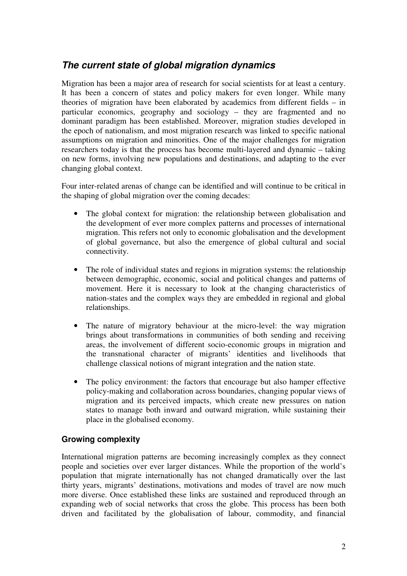## *The current state of global migration dynamics*

Migration has been a major area of research for social scientists for at least a century. It has been a concern of states and policy makers for even longer. While many theories of migration have been elaborated by academics from different fields – in particular economics, geography and sociology – they are fragmented and no dominant paradigm has been established. Moreover, migration studies developed in the epoch of nationalism, and most migration research was linked to specific national assumptions on migration and minorities. One of the major challenges for migration researchers today is that the process has become multi-layered and dynamic – taking on new forms, involving new populations and destinations, and adapting to the ever changing global context.

Four inter-related arenas of change can be identified and will continue to be critical in the shaping of global migration over the coming decades:

- The global context for migration: the relationship between globalisation and the development of ever more complex patterns and processes of international migration. This refers not only to economic globalisation and the development of global governance, but also the emergence of global cultural and social connectivity.
- The role of individual states and regions in migration systems: the relationship between demographic, economic, social and political changes and patterns of movement. Here it is necessary to look at the changing characteristics of nation-states and the complex ways they are embedded in regional and global relationships.
- The nature of migratory behaviour at the micro-level: the way migration brings about transformations in communities of both sending and receiving areas, the involvement of different socio-economic groups in migration and the transnational character of migrants' identities and livelihoods that challenge classical notions of migrant integration and the nation state.
- The policy environment: the factors that encourage but also hamper effective policy-making and collaboration across boundaries, changing popular views of migration and its perceived impacts, which create new pressures on nation states to manage both inward and outward migration, while sustaining their place in the globalised economy.

#### **Growing complexity**

International migration patterns are becoming increasingly complex as they connect people and societies over ever larger distances. While the proportion of the world's population that migrate internationally has not changed dramatically over the last thirty years, migrants' destinations, motivations and modes of travel are now much more diverse. Once established these links are sustained and reproduced through an expanding web of social networks that cross the globe. This process has been both driven and facilitated by the globalisation of labour, commodity, and financial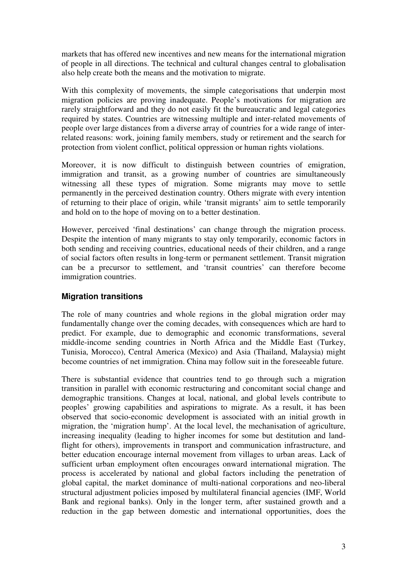markets that has offered new incentives and new means for the international migration of people in all directions. The technical and cultural changes central to globalisation also help create both the means and the motivation to migrate.

With this complexity of movements, the simple categorisations that underpin most migration policies are proving inadequate. People's motivations for migration are rarely straightforward and they do not easily fit the bureaucratic and legal categories required by states. Countries are witnessing multiple and inter-related movements of people over large distances from a diverse array of countries for a wide range of interrelated reasons: work, joining family members, study or retirement and the search for protection from violent conflict, political oppression or human rights violations.

Moreover, it is now difficult to distinguish between countries of emigration, immigration and transit, as a growing number of countries are simultaneously witnessing all these types of migration. Some migrants may move to settle permanently in the perceived destination country. Others migrate with every intention of returning to their place of origin, while 'transit migrants' aim to settle temporarily and hold on to the hope of moving on to a better destination.

However, perceived 'final destinations' can change through the migration process. Despite the intention of many migrants to stay only temporarily, economic factors in both sending and receiving countries, educational needs of their children, and a range of social factors often results in long-term or permanent settlement. Transit migration can be a precursor to settlement, and 'transit countries' can therefore become immigration countries.

#### **Migration transitions**

The role of many countries and whole regions in the global migration order may fundamentally change over the coming decades, with consequences which are hard to predict. For example, due to demographic and economic transformations, several middle-income sending countries in North Africa and the Middle East (Turkey, Tunisia, Morocco), Central America (Mexico) and Asia (Thailand, Malaysia) might become countries of net immigration. China may follow suit in the foreseeable future.

There is substantial evidence that countries tend to go through such a migration transition in parallel with economic restructuring and concomitant social change and demographic transitions. Changes at local, national, and global levels contribute to peoples' growing capabilities and aspirations to migrate. As a result, it has been observed that socio-economic development is associated with an initial growth in migration, the 'migration hump'. At the local level, the mechanisation of agriculture, increasing inequality (leading to higher incomes for some but destitution and landflight for others), improvements in transport and communication infrastructure, and better education encourage internal movement from villages to urban areas. Lack of sufficient urban employment often encourages onward international migration. The process is accelerated by national and global factors including the penetration of global capital, the market dominance of multi-national corporations and neo-liberal structural adjustment policies imposed by multilateral financial agencies (IMF, World Bank and regional banks). Only in the longer term, after sustained growth and a reduction in the gap between domestic and international opportunities, does the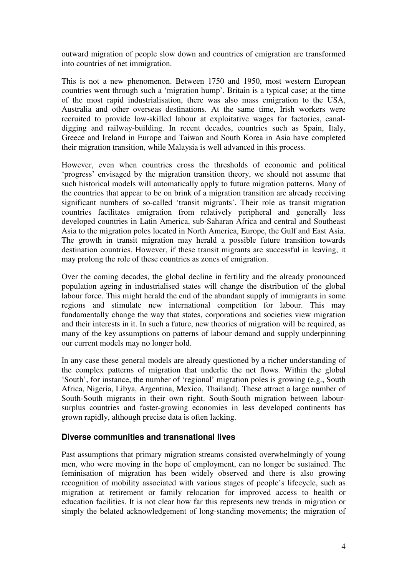outward migration of people slow down and countries of emigration are transformed into countries of net immigration.

This is not a new phenomenon. Between 1750 and 1950, most western European countries went through such a 'migration hump'. Britain is a typical case; at the time of the most rapid industrialisation, there was also mass emigration to the USA, Australia and other overseas destinations. At the same time, Irish workers were recruited to provide low-skilled labour at exploitative wages for factories, canaldigging and railway-building. In recent decades, countries such as Spain, Italy, Greece and Ireland in Europe and Taiwan and South Korea in Asia have completed their migration transition, while Malaysia is well advanced in this process.

However, even when countries cross the thresholds of economic and political 'progress' envisaged by the migration transition theory, we should not assume that such historical models will automatically apply to future migration patterns. Many of the countries that appear to be on brink of a migration transition are already receiving significant numbers of so-called 'transit migrants'. Their role as transit migration countries facilitates emigration from relatively peripheral and generally less developed countries in Latin America, sub-Saharan Africa and central and Southeast Asia to the migration poles located in North America, Europe, the Gulf and East Asia. The growth in transit migration may herald a possible future transition towards destination countries. However, if these transit migrants are successful in leaving, it may prolong the role of these countries as zones of emigration.

Over the coming decades, the global decline in fertility and the already pronounced population ageing in industrialised states will change the distribution of the global labour force. This might herald the end of the abundant supply of immigrants in some regions and stimulate new international competition for labour. This may fundamentally change the way that states, corporations and societies view migration and their interests in it. In such a future, new theories of migration will be required, as many of the key assumptions on patterns of labour demand and supply underpinning our current models may no longer hold.

In any case these general models are already questioned by a richer understanding of the complex patterns of migration that underlie the net flows. Within the global 'South', for instance, the number of 'regional' migration poles is growing (e.g., South Africa, Nigeria, Libya, Argentina, Mexico, Thailand). These attract a large number of South-South migrants in their own right. South-South migration between laboursurplus countries and faster-growing economies in less developed continents has grown rapidly, although precise data is often lacking.

#### **Diverse communities and transnational lives**

Past assumptions that primary migration streams consisted overwhelmingly of young men, who were moving in the hope of employment, can no longer be sustained. The feminisation of migration has been widely observed and there is also growing recognition of mobility associated with various stages of people's lifecycle, such as migration at retirement or family relocation for improved access to health or education facilities. It is not clear how far this represents new trends in migration or simply the belated acknowledgement of long-standing movements; the migration of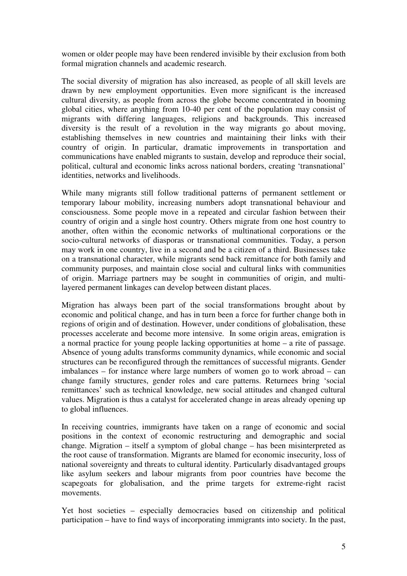women or older people may have been rendered invisible by their exclusion from both formal migration channels and academic research.

The social diversity of migration has also increased, as people of all skill levels are drawn by new employment opportunities. Even more significant is the increased cultural diversity, as people from across the globe become concentrated in booming global cities, where anything from 10-40 per cent of the population may consist of migrants with differing languages, religions and backgrounds. This increased diversity is the result of a revolution in the way migrants go about moving, establishing themselves in new countries and maintaining their links with their country of origin. In particular, dramatic improvements in transportation and communications have enabled migrants to sustain, develop and reproduce their social, political, cultural and economic links across national borders, creating 'transnational' identities, networks and livelihoods.

While many migrants still follow traditional patterns of permanent settlement or temporary labour mobility, increasing numbers adopt transnational behaviour and consciousness. Some people move in a repeated and circular fashion between their country of origin and a single host country. Others migrate from one host country to another, often within the economic networks of multinational corporations or the socio-cultural networks of diasporas or transnational communities. Today, a person may work in one country, live in a second and be a citizen of a third. Businesses take on a transnational character, while migrants send back remittance for both family and community purposes, and maintain close social and cultural links with communities of origin. Marriage partners may be sought in communities of origin, and multilayered permanent linkages can develop between distant places.

Migration has always been part of the social transformations brought about by economic and political change, and has in turn been a force for further change both in regions of origin and of destination. However, under conditions of globalisation, these processes accelerate and become more intensive. In some origin areas, emigration is a normal practice for young people lacking opportunities at home – a rite of passage. Absence of young adults transforms community dynamics, while economic and social structures can be reconfigured through the remittances of successful migrants. Gender imbalances – for instance where large numbers of women go to work abroad – can change family structures, gender roles and care patterns. Returnees bring 'social remittances' such as technical knowledge, new social attitudes and changed cultural values. Migration is thus a catalyst for accelerated change in areas already opening up to global influences.

In receiving countries, immigrants have taken on a range of economic and social positions in the context of economic restructuring and demographic and social change. Migration – itself a symptom of global change – has been misinterpreted as the root cause of transformation. Migrants are blamed for economic insecurity, loss of national sovereignty and threats to cultural identity. Particularly disadvantaged groups like asylum seekers and labour migrants from poor countries have become the scapegoats for globalisation, and the prime targets for extreme-right racist movements.

Yet host societies – especially democracies based on citizenship and political participation – have to find ways of incorporating immigrants into society. In the past,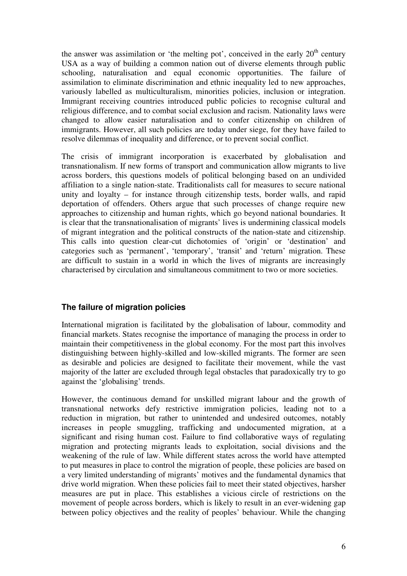the answer was assimilation or 'the melting pot', conceived in the early  $20<sup>th</sup>$  century USA as a way of building a common nation out of diverse elements through public schooling, naturalisation and equal economic opportunities. The failure of assimilation to eliminate discrimination and ethnic inequality led to new approaches, variously labelled as multiculturalism, minorities policies, inclusion or integration. Immigrant receiving countries introduced public policies to recognise cultural and religious difference, and to combat social exclusion and racism. Nationality laws were changed to allow easier naturalisation and to confer citizenship on children of immigrants. However, all such policies are today under siege, for they have failed to resolve dilemmas of inequality and difference, or to prevent social conflict.

The crisis of immigrant incorporation is exacerbated by globalisation and transnationalism. If new forms of transport and communication allow migrants to live across borders, this questions models of political belonging based on an undivided affiliation to a single nation-state. Traditionalists call for measures to secure national unity and loyalty – for instance through citizenship tests, border walls, and rapid deportation of offenders. Others argue that such processes of change require new approaches to citizenship and human rights, which go beyond national boundaries. It is clear that the transnationalisation of migrants' lives is undermining classical models of migrant integration and the political constructs of the nation-state and citizenship. This calls into question clear-cut dichotomies of 'origin' or 'destination' and categories such as 'permanent', 'temporary', 'transit' and 'return' migration. These are difficult to sustain in a world in which the lives of migrants are increasingly characterised by circulation and simultaneous commitment to two or more societies.

#### **The failure of migration policies**

International migration is facilitated by the globalisation of labour, commodity and financial markets. States recognise the importance of managing the process in order to maintain their competitiveness in the global economy. For the most part this involves distinguishing between highly-skilled and low-skilled migrants. The former are seen as desirable and policies are designed to facilitate their movement, while the vast majority of the latter are excluded through legal obstacles that paradoxically try to go against the 'globalising' trends.

However, the continuous demand for unskilled migrant labour and the growth of transnational networks defy restrictive immigration policies, leading not to a reduction in migration, but rather to unintended and undesired outcomes, notably increases in people smuggling, trafficking and undocumented migration, at a significant and rising human cost. Failure to find collaborative ways of regulating migration and protecting migrants leads to exploitation, social divisions and the weakening of the rule of law. While different states across the world have attempted to put measures in place to control the migration of people, these policies are based on a very limited understanding of migrants' motives and the fundamental dynamics that drive world migration. When these policies fail to meet their stated objectives, harsher measures are put in place. This establishes a vicious circle of restrictions on the movement of people across borders, which is likely to result in an ever-widening gap between policy objectives and the reality of peoples' behaviour. While the changing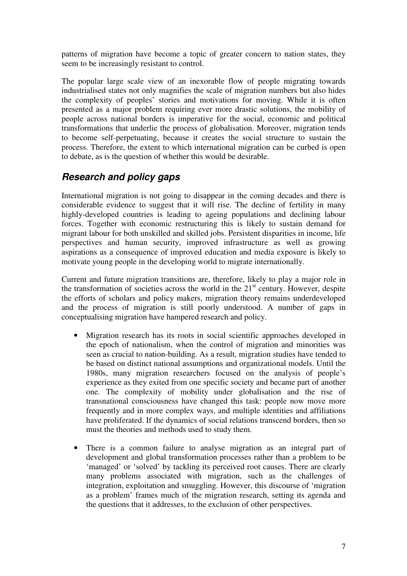patterns of migration have become a topic of greater concern to nation states, they seem to be increasingly resistant to control.

The popular large scale view of an inexorable flow of people migrating towards industrialised states not only magnifies the scale of migration numbers but also hides the complexity of peoples' stories and motivations for moving. While it is often presented as a major problem requiring ever more drastic solutions, the mobility of people across national borders is imperative for the social, economic and political transformations that underlie the process of globalisation. Moreover, migration tends to become self-perpetuating, because it creates the social structure to sustain the process. Therefore, the extent to which international migration can be curbed is open to debate, as is the question of whether this would be desirable.

# *Research and policy gaps*

International migration is not going to disappear in the coming decades and there is considerable evidence to suggest that it will rise. The decline of fertility in many highly-developed countries is leading to ageing populations and declining labour forces. Together with economic restructuring this is likely to sustain demand for migrant labour for both unskilled and skilled jobs. Persistent disparities in income, life perspectives and human security, improved infrastructure as well as growing aspirations as a consequence of improved education and media exposure is likely to motivate young people in the developing world to migrate internationally.

Current and future migration transitions are, therefore, likely to play a major role in the transformation of societies across the world in the  $21<sup>st</sup>$  century. However, despite the efforts of scholars and policy makers, migration theory remains underdeveloped and the process of migration is still poorly understood. A number of gaps in conceptualising migration have hampered research and policy.

- Migration research has its roots in social scientific approaches developed in the epoch of nationalism, when the control of migration and minorities was seen as crucial to nation-building. As a result, migration studies have tended to be based on distinct national assumptions and organizational models. Until the 1980s, many migration researchers focused on the analysis of people's experience as they exited from one specific society and became part of another one. The complexity of mobility under globalisation and the rise of transnational consciousness have changed this task: people now move more frequently and in more complex ways, and multiple identities and affiliations have proliferated. If the dynamics of social relations transcend borders, then so must the theories and methods used to study them.
- There is a common failure to analyse migration as an integral part of development and global transformation processes rather than a problem to be 'managed' or 'solved' by tackling its perceived root causes. There are clearly many problems associated with migration, such as the challenges of integration, exploitation and smuggling. However, this discourse of 'migration as a problem' frames much of the migration research, setting its agenda and the questions that it addresses, to the exclusion of other perspectives.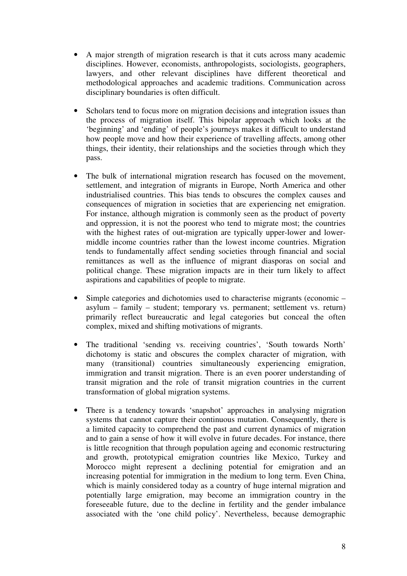- A major strength of migration research is that it cuts across many academic disciplines. However, economists, anthropologists, sociologists, geographers, lawyers, and other relevant disciplines have different theoretical and methodological approaches and academic traditions. Communication across disciplinary boundaries is often difficult.
- Scholars tend to focus more on migration decisions and integration issues than the process of migration itself. This bipolar approach which looks at the 'beginning' and 'ending' of people's journeys makes it difficult to understand how people move and how their experience of travelling affects, among other things, their identity, their relationships and the societies through which they pass.
- The bulk of international migration research has focused on the movement, settlement, and integration of migrants in Europe, North America and other industrialised countries. This bias tends to obscures the complex causes and consequences of migration in societies that are experiencing net emigration. For instance, although migration is commonly seen as the product of poverty and oppression, it is not the poorest who tend to migrate most; the countries with the highest rates of out-migration are typically upper-lower and lowermiddle income countries rather than the lowest income countries. Migration tends to fundamentally affect sending societies through financial and social remittances as well as the influence of migrant diasporas on social and political change. These migration impacts are in their turn likely to affect aspirations and capabilities of people to migrate.
- Simple categories and dichotomies used to characterise migrants (economic asylum – family – student; temporary vs. permanent; settlement vs. return) primarily reflect bureaucratic and legal categories but conceal the often complex, mixed and shifting motivations of migrants.
- The traditional 'sending vs. receiving countries', 'South towards North' dichotomy is static and obscures the complex character of migration, with many (transitional) countries simultaneously experiencing emigration, immigration and transit migration. There is an even poorer understanding of transit migration and the role of transit migration countries in the current transformation of global migration systems.
- There is a tendency towards 'snapshot' approaches in analysing migration systems that cannot capture their continuous mutation. Consequently, there is a limited capacity to comprehend the past and current dynamics of migration and to gain a sense of how it will evolve in future decades. For instance, there is little recognition that through population ageing and economic restructuring and growth, prototypical emigration countries like Mexico, Turkey and Morocco might represent a declining potential for emigration and an increasing potential for immigration in the medium to long term. Even China, which is mainly considered today as a country of huge internal migration and potentially large emigration, may become an immigration country in the foreseeable future, due to the decline in fertility and the gender imbalance associated with the 'one child policy'. Nevertheless, because demographic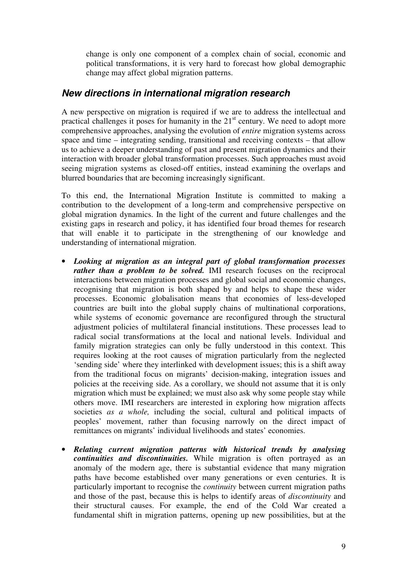change is only one component of a complex chain of social, economic and political transformations, it is very hard to forecast how global demographic change may affect global migration patterns.

### *New directions in international migration research*

A new perspective on migration is required if we are to address the intellectual and practical challenges it poses for humanity in the 21<sup>st</sup> century. We need to adopt more comprehensive approaches, analysing the evolution of *entire* migration systems across space and time – integrating sending, transitional and receiving contexts – that allow us to achieve a deeper understanding of past and present migration dynamics and their interaction with broader global transformation processes. Such approaches must avoid seeing migration systems as closed-off entities, instead examining the overlaps and blurred boundaries that are becoming increasingly significant.

To this end, the International Migration Institute is committed to making a contribution to the development of a long-term and comprehensive perspective on global migration dynamics. In the light of the current and future challenges and the existing gaps in research and policy, it has identified four broad themes for research that will enable it to participate in the strengthening of our knowledge and understanding of international migration.

- *Looking at migration as an integral part of global transformation processes rather than a problem to be solved.* IMI research focuses on the reciprocal interactions between migration processes and global social and economic changes, recognising that migration is both shaped by and helps to shape these wider processes. Economic globalisation means that economies of less-developed countries are built into the global supply chains of multinational corporations, while systems of economic governance are reconfigured through the structural adjustment policies of multilateral financial institutions. These processes lead to radical social transformations at the local and national levels. Individual and family migration strategies can only be fully understood in this context. This requires looking at the root causes of migration particularly from the neglected 'sending side' where they interlinked with development issues; this is a shift away from the traditional focus on migrants' decision-making, integration issues and policies at the receiving side. As a corollary, we should not assume that it is only migration which must be explained; we must also ask why some people stay while others move. IMI researchers are interested in exploring how migration affects societies *as a whole,* including the social, cultural and political impacts of peoples' movement, rather than focusing narrowly on the direct impact of remittances on migrants' individual livelihoods and states' economies.
- *Relating current migration patterns with historical trends by analysing continuities and discontinuities.* While migration is often portrayed as an anomaly of the modern age, there is substantial evidence that many migration paths have become established over many generations or even centuries. It is particularly important to recognise the *continuity* between current migration paths and those of the past, because this is helps to identify areas of *discontinuity* and their structural causes. For example, the end of the Cold War created a fundamental shift in migration patterns, opening up new possibilities, but at the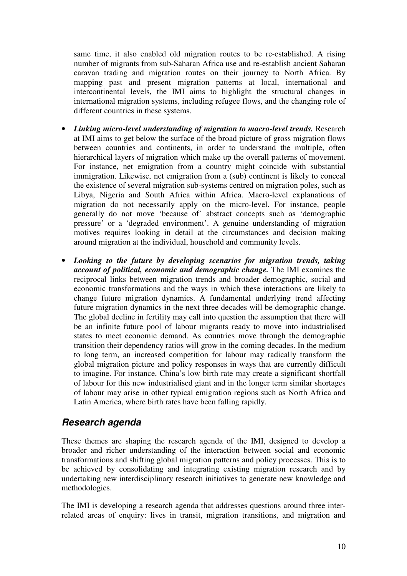same time, it also enabled old migration routes to be re-established. A rising number of migrants from sub-Saharan Africa use and re-establish ancient Saharan caravan trading and migration routes on their journey to North Africa. By mapping past and present migration patterns at local, international and intercontinental levels, the IMI aims to highlight the structural changes in international migration systems, including refugee flows, and the changing role of different countries in these systems.

- *Linking micro-level understanding of migration to macro-level trends.* Research at IMI aims to get below the surface of the broad picture of gross migration flows between countries and continents, in order to understand the multiple, often hierarchical layers of migration which make up the overall patterns of movement. For instance, net emigration from a country might coincide with substantial immigration. Likewise, net emigration from a (sub) continent is likely to conceal the existence of several migration sub-systems centred on migration poles, such as Libya, Nigeria and South Africa within Africa. Macro-level explanations of migration do not necessarily apply on the micro-level. For instance, people generally do not move 'because of' abstract concepts such as 'demographic pressure' or a 'degraded environment'. A genuine understanding of migration motives requires looking in detail at the circumstances and decision making around migration at the individual, household and community levels.
- *Looking to the future by developing scenarios for migration trends, taking account of political, economic and demographic change.* The IMI examines the reciprocal links between migration trends and broader demographic, social and economic transformations and the ways in which these interactions are likely to change future migration dynamics. A fundamental underlying trend affecting future migration dynamics in the next three decades will be demographic change. The global decline in fertility may call into question the assumption that there will be an infinite future pool of labour migrants ready to move into industrialised states to meet economic demand. As countries move through the demographic transition their dependency ratios will grow in the coming decades. In the medium to long term, an increased competition for labour may radically transform the global migration picture and policy responses in ways that are currently difficult to imagine. For instance, China's low birth rate may create a significant shortfall of labour for this new industrialised giant and in the longer term similar shortages of labour may arise in other typical emigration regions such as North Africa and Latin America, where birth rates have been falling rapidly.

### *Research agenda*

These themes are shaping the research agenda of the IMI, designed to develop a broader and richer understanding of the interaction between social and economic transformations and shifting global migration patterns and policy processes. This is to be achieved by consolidating and integrating existing migration research and by undertaking new interdisciplinary research initiatives to generate new knowledge and methodologies.

The IMI is developing a research agenda that addresses questions around three interrelated areas of enquiry: lives in transit, migration transitions, and migration and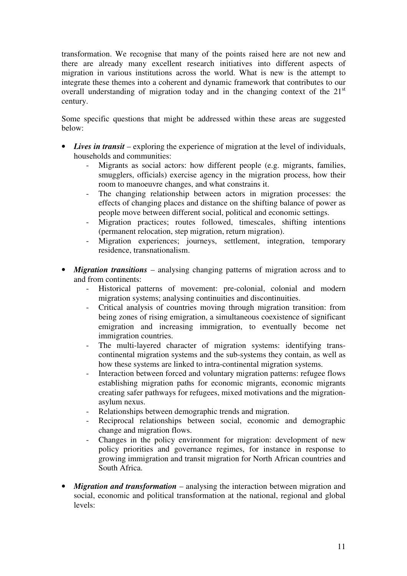transformation. We recognise that many of the points raised here are not new and there are already many excellent research initiatives into different aspects of migration in various institutions across the world. What is new is the attempt to integrate these themes into a coherent and dynamic framework that contributes to our overall understanding of migration today and in the changing context of the  $21<sup>st</sup>$ century.

Some specific questions that might be addressed within these areas are suggested below:

- *Lives in transit* exploring the experience of migration at the level of individuals, households and communities:
	- Migrants as social actors: how different people (e.g. migrants, families, smugglers, officials) exercise agency in the migration process, how their room to manoeuvre changes, and what constrains it.
	- The changing relationship between actors in migration processes: the effects of changing places and distance on the shifting balance of power as people move between different social, political and economic settings.
	- Migration practices; routes followed, timescales, shifting intentions (permanent relocation, step migration, return migration).
	- Migration experiences; journeys, settlement, integration, temporary residence, transnationalism.
- *Migration transitions* analysing changing patterns of migration across and to and from continents:
	- Historical patterns of movement: pre-colonial, colonial and modern migration systems; analysing continuities and discontinuities.
	- Critical analysis of countries moving through migration transition: from being zones of rising emigration, a simultaneous coexistence of significant emigration and increasing immigration, to eventually become net immigration countries.
	- The multi-layered character of migration systems: identifying transcontinental migration systems and the sub-systems they contain, as well as how these systems are linked to intra-continental migration systems.
	- Interaction between forced and voluntary migration patterns: refugee flows establishing migration paths for economic migrants, economic migrants creating safer pathways for refugees, mixed motivations and the migrationasylum nexus.
	- Relationships between demographic trends and migration.
	- Reciprocal relationships between social, economic and demographic change and migration flows.
	- Changes in the policy environment for migration: development of new policy priorities and governance regimes, for instance in response to growing immigration and transit migration for North African countries and South Africa.
- *Migration and transformation* analysing the interaction between migration and social, economic and political transformation at the national, regional and global levels: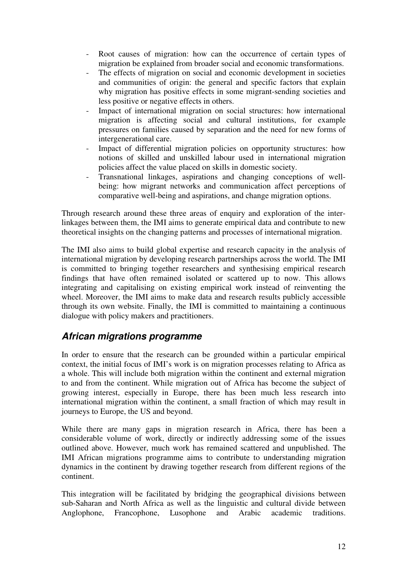- Root causes of migration: how can the occurrence of certain types of migration be explained from broader social and economic transformations.
- The effects of migration on social and economic development in societies and communities of origin: the general and specific factors that explain why migration has positive effects in some migrant-sending societies and less positive or negative effects in others.
- Impact of international migration on social structures: how international migration is affecting social and cultural institutions, for example pressures on families caused by separation and the need for new forms of intergenerational care.
- Impact of differential migration policies on opportunity structures: how notions of skilled and unskilled labour used in international migration policies affect the value placed on skills in domestic society.
- Transnational linkages, aspirations and changing conceptions of wellbeing: how migrant networks and communication affect perceptions of comparative well-being and aspirations, and change migration options.

Through research around these three areas of enquiry and exploration of the interlinkages between them, the IMI aims to generate empirical data and contribute to new theoretical insights on the changing patterns and processes of international migration.

The IMI also aims to build global expertise and research capacity in the analysis of international migration by developing research partnerships across the world. The IMI is committed to bringing together researchers and synthesising empirical research findings that have often remained isolated or scattered up to now. This allows integrating and capitalising on existing empirical work instead of reinventing the wheel. Moreover, the IMI aims to make data and research results publicly accessible through its own website. Finally, the IMI is committed to maintaining a continuous dialogue with policy makers and practitioners.

# *African migrations programme*

In order to ensure that the research can be grounded within a particular empirical context, the initial focus of IMI's work is on migration processes relating to Africa as a whole. This will include both migration within the continent and external migration to and from the continent. While migration out of Africa has become the subject of growing interest, especially in Europe, there has been much less research into international migration within the continent, a small fraction of which may result in journeys to Europe, the US and beyond.

While there are many gaps in migration research in Africa, there has been a considerable volume of work, directly or indirectly addressing some of the issues outlined above. However, much work has remained scattered and unpublished. The IMI African migrations programme aims to contribute to understanding migration dynamics in the continent by drawing together research from different regions of the continent.

This integration will be facilitated by bridging the geographical divisions between sub-Saharan and North Africa as well as the linguistic and cultural divide between Anglophone, Francophone, Lusophone and Arabic academic traditions.